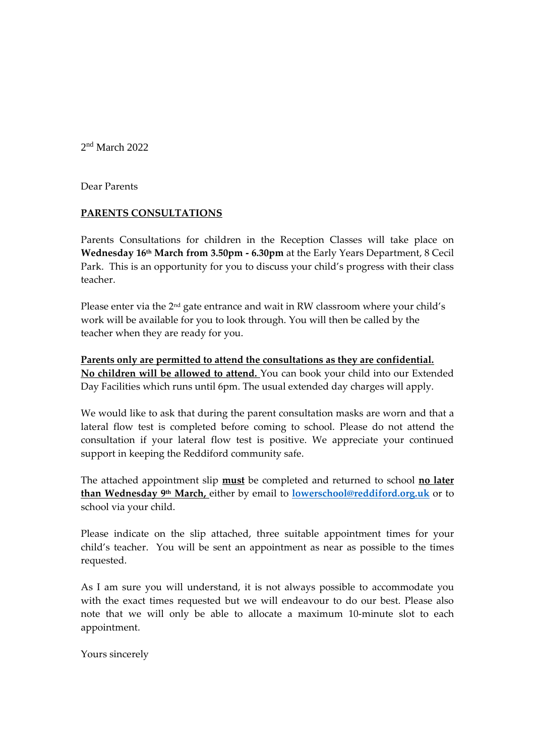2<sup>nd</sup> March 2022

Dear Parents

## **PARENTS CONSULTATIONS**

Parents Consultations for children in the Reception Classes will take place on **Wednesday 16 th March from 3.50pm - 6.30pm** at the Early Years Department, 8 Cecil Park.This is an opportunity for you to discuss your child's progress with their class teacher.

Please enter via the 2nd gate entrance and wait in RW classroom where your child's work will be available for you to look through. You will then be called by the teacher when they are ready for you.

**Parents only are permitted to attend the consultations as they are confidential. No children will be allowed to attend.** You can book your child into our Extended Day Facilities which runs until 6pm. The usual extended day charges will apply.

We would like to ask that during the parent consultation masks are worn and that a lateral flow test is completed before coming to school. Please do not attend the consultation if your lateral flow test is positive. We appreciate your continued support in keeping the Reddiford community safe.

The attached appointment slip **must** be completed and returned to school **no later than Wednesday 9th March,** either by email to **[lowerschool@reddiford.org.uk](mailto:lowerschool@reddiford.org.uk)** or to school via your child.

Please indicate on the slip attached, three suitable appointment times for your child's teacher. You will be sent an appointment as near as possible to the times requested.

As I am sure you will understand, it is not always possible to accommodate you with the exact times requested but we will endeavour to do our best. Please also note that we will only be able to allocate a maximum 10-minute slot to each appointment.

Yours sincerely